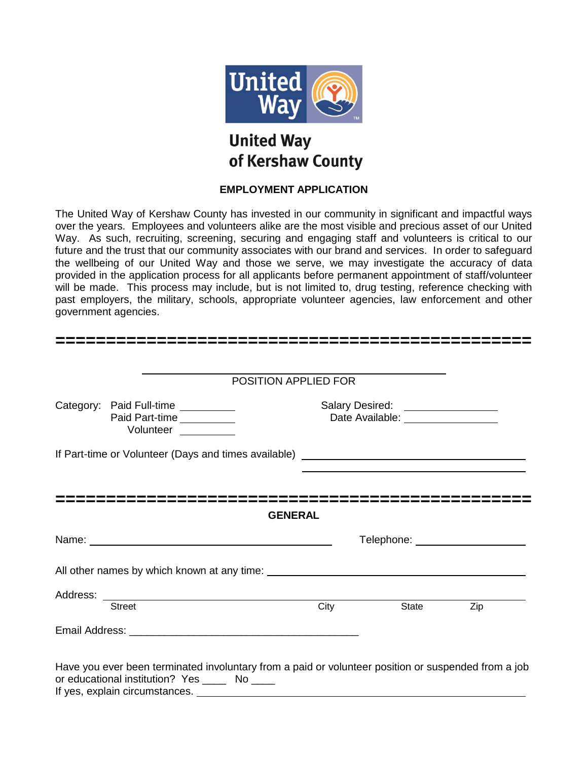

# **United Way** of Kershaw County

#### **EMPLOYMENT APPLICATION**

The United Way of Kershaw County has invested in our community in significant and impactful ways over the years. Employees and volunteers alike are the most visible and precious asset of our United Way. As such, recruiting, screening, securing and engaging staff and volunteers is critical to our future and the trust that our community associates with our brand and services. In order to safeguard the wellbeing of our United Way and those we serve, we may investigate the accuracy of data provided in the application process for all applicants before permanent appointment of staff/volunteer will be made. This process may include, but is not limited to, drug testing, reference checking with past employers, the military, schools, appropriate volunteer agencies, law enforcement and other government agencies.

|                                                                                                                                                                                                                               | POSITION APPLIED FOR |                                                                                                                        |                                 |
|-------------------------------------------------------------------------------------------------------------------------------------------------------------------------------------------------------------------------------|----------------------|------------------------------------------------------------------------------------------------------------------------|---------------------------------|
| Category: Paid Full-time __________<br>Paid Part-time<br>Volunteer _________                                                                                                                                                  |                      | Salary Desired: \\square\\square\\square\\square\\square\\square\\square\\square\<br>Date Available: _________________ |                                 |
|                                                                                                                                                                                                                               |                      |                                                                                                                        |                                 |
|                                                                                                                                                                                                                               | <b>GENERAL</b>       |                                                                                                                        |                                 |
| Name: Name: Name: Name: Name: Name: Name: Name: Name: Name: Name: Name: Name: Name: Name: Name: Name: Name: Name: Name: Name: Name: Name: Name: Name: Name: Name: Name: Name: Name: Name: Name: Name: Name: Name: Name: Name: |                      |                                                                                                                        | Telephone: ____________________ |
|                                                                                                                                                                                                                               |                      |                                                                                                                        |                                 |
|                                                                                                                                                                                                                               | City                 | State                                                                                                                  | Zip                             |
| <b>Street</b>                                                                                                                                                                                                                 |                      |                                                                                                                        |                                 |

If yes, explain circumstances.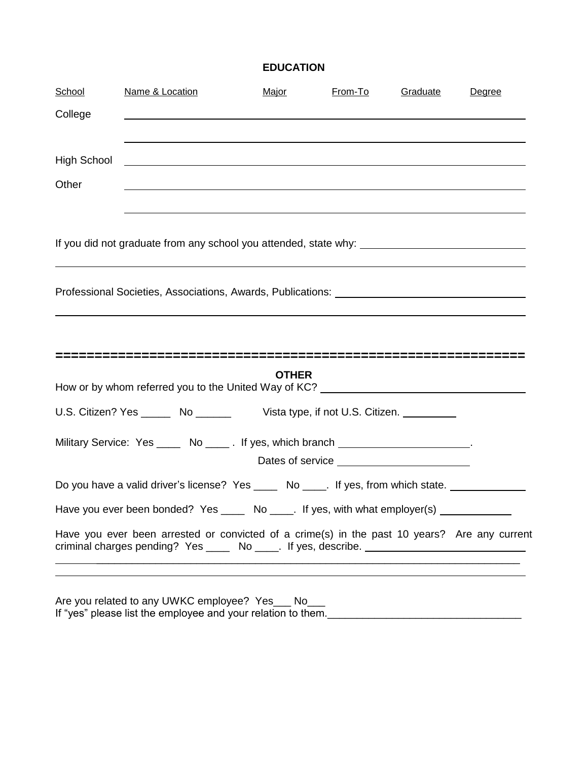## **EDUCATION**

| School             | Name & Location                                                                                                                                                                  | <u>Major</u> | From-To | Graduate | Degree |
|--------------------|----------------------------------------------------------------------------------------------------------------------------------------------------------------------------------|--------------|---------|----------|--------|
| College            |                                                                                                                                                                                  |              |         |          |        |
| <b>High School</b> | <u> 1989 - Johann Stoff, deutscher Stoff, der Stoff, der Stoff, der Stoff, der Stoff, der Stoff, der Stoff, der S</u>                                                            |              |         |          |        |
| Other              |                                                                                                                                                                                  |              |         |          |        |
|                    |                                                                                                                                                                                  |              |         |          |        |
|                    | Professional Societies, Associations, Awards, Publications: [1989] [2003] Professional Societies, Associations, Awards, Publications:                                            |              |         |          |        |
|                    |                                                                                                                                                                                  |              |         |          |        |
|                    |                                                                                                                                                                                  | <b>OTHER</b> |         |          |        |
|                    | How or by whom referred you to the United Way of KC? [CONDENSER THE REFERENCE TO NOTE THE REFERENCE TO NOTE TH                                                                   |              |         |          |        |
|                    | U.S. Citizen? Yes _______ No ________ Vista type, if not U.S. Citizen. _________                                                                                                 |              |         |          |        |
|                    | Military Service: Yes _____ No _____. If yes, which branch _____________________.                                                                                                |              |         |          |        |
|                    |                                                                                                                                                                                  |              |         |          |        |
|                    | Do you have a valid driver's license? Yes _____ No ____. If yes, from which state.                                                                                               |              |         |          |        |
|                    | Have you ever been bonded? Yes _____ No ____. If yes, with what employer(s) __________                                                                                           |              |         |          |        |
|                    | Have you ever been arrested or convicted of a crime(s) in the past 10 years? Are any current<br>criminal charges pending? Yes _____ No ____. If yes, describe. _________________ |              |         |          |        |
|                    |                                                                                                                                                                                  |              |         |          |        |

Are you related to any UWKC employee? Yes\_\_\_ No\_\_\_ If "yes" please list the employee and your relation to them.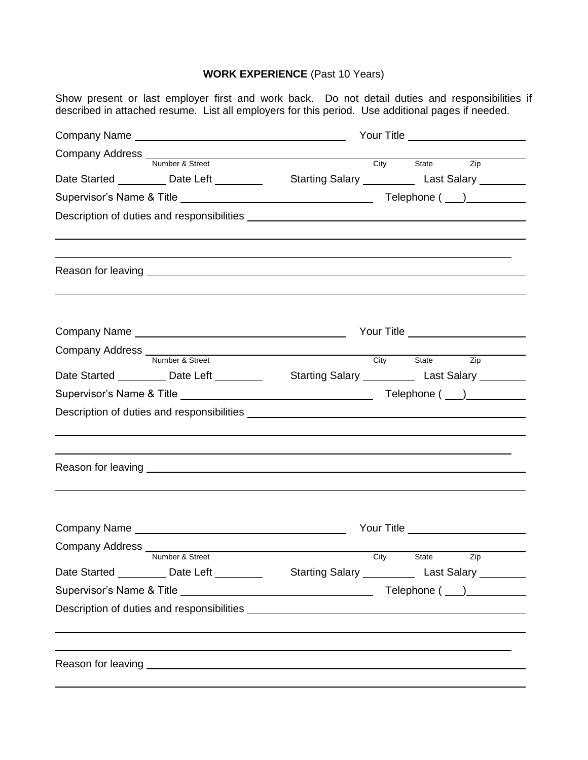## **WORK EXPERIENCE** (Past 10 Years)

Show present or last employer first and work back. Do not detail duties and responsibilities if described in attached resume. List all employers for this period. Use additional pages if needed.

|  |                                              | Company Address Number & Street City State     |                                                                                                  |  |
|--|----------------------------------------------|------------------------------------------------|--------------------------------------------------------------------------------------------------|--|
|  |                                              |                                                | Zip                                                                                              |  |
|  |                                              |                                                | Date Started __________ Date Left ___________  Starting Salary ___________ Last Salary _________ |  |
|  |                                              |                                                |                                                                                                  |  |
|  |                                              |                                                |                                                                                                  |  |
|  |                                              |                                                |                                                                                                  |  |
|  |                                              |                                                |                                                                                                  |  |
|  |                                              |                                                |                                                                                                  |  |
|  | Company Name experience and the company Name |                                                |                                                                                                  |  |
|  |                                              | Company Address Number & Street City State Zip |                                                                                                  |  |
|  |                                              |                                                | Date Started __________ Date Left __________  Starting Salary __________ Last Salary ________    |  |
|  |                                              |                                                |                                                                                                  |  |
|  |                                              |                                                |                                                                                                  |  |
|  |                                              |                                                |                                                                                                  |  |
|  |                                              |                                                |                                                                                                  |  |
|  |                                              |                                                | ,我们也不会有什么。""我们的人,我们也不会有什么?""我们的人,我们也不会有什么?""我们的人,我们也不会有什么?""我们的人,我们也不会有什么?""我们的人                 |  |
|  |                                              |                                                |                                                                                                  |  |
|  |                                              |                                                | Your Title <u>New Your Title</u>                                                                 |  |
|  |                                              |                                                |                                                                                                  |  |
|  | Company Address Number & Street              |                                                | City State Zip                                                                                   |  |
|  |                                              |                                                | Date Started __________ Date Left ___________  Starting Salary ___________ Last Salary _________ |  |
|  |                                              |                                                |                                                                                                  |  |
|  |                                              |                                                |                                                                                                  |  |
|  |                                              |                                                |                                                                                                  |  |
|  |                                              |                                                |                                                                                                  |  |
|  |                                              |                                                |                                                                                                  |  |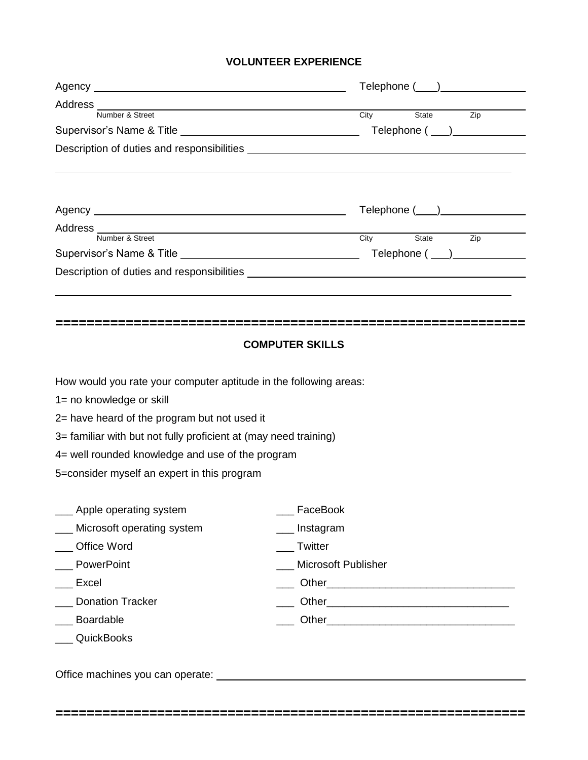#### **VOLUNTEER EXPERIENCE**

| Address<br>Number & Street<br>Number & Street                     |                                                       |  |
|-------------------------------------------------------------------|-------------------------------------------------------|--|
|                                                                   | State Zip<br>City<br>Telephone ( ___ )_______________ |  |
|                                                                   |                                                       |  |
|                                                                   |                                                       |  |
|                                                                   | Telephone ( ___ ) _______________                     |  |
| Address Mumber & Street                                           |                                                       |  |
|                                                                   | City<br>State<br>Zip                                  |  |
|                                                                   | $\mathsf{Telephone}\ (\_\_\_\_\_\_\_\_\_\$            |  |
|                                                                   |                                                       |  |
|                                                                   |                                                       |  |
|                                                                   |                                                       |  |
|                                                                   | <b>COMPUTER SKILLS</b>                                |  |
|                                                                   |                                                       |  |
| How would you rate your computer aptitude in the following areas: |                                                       |  |
| 1= no knowledge or skill                                          |                                                       |  |
| 2= have heard of the program but not used it                      |                                                       |  |
| 3= familiar with but not fully proficient at (may need training)  |                                                       |  |
| 4= well rounded knowledge and use of the program                  |                                                       |  |
| 5=consider myself an expert in this program                       |                                                       |  |
|                                                                   |                                                       |  |
| Apple operating system                                            | __ FaceBook                                           |  |
| Microsoft operating system                                        | Instagram                                             |  |
| Office Word                                                       | __ Twitter                                            |  |
| <b>PowerPoint</b>                                                 | <b>Microsoft Publisher</b>                            |  |
| Excel                                                             |                                                       |  |
| <b>Donation Tracker</b>                                           |                                                       |  |
|                                                                   |                                                       |  |
| Boardable                                                         |                                                       |  |

**============================================================**

Office machines you can operate: